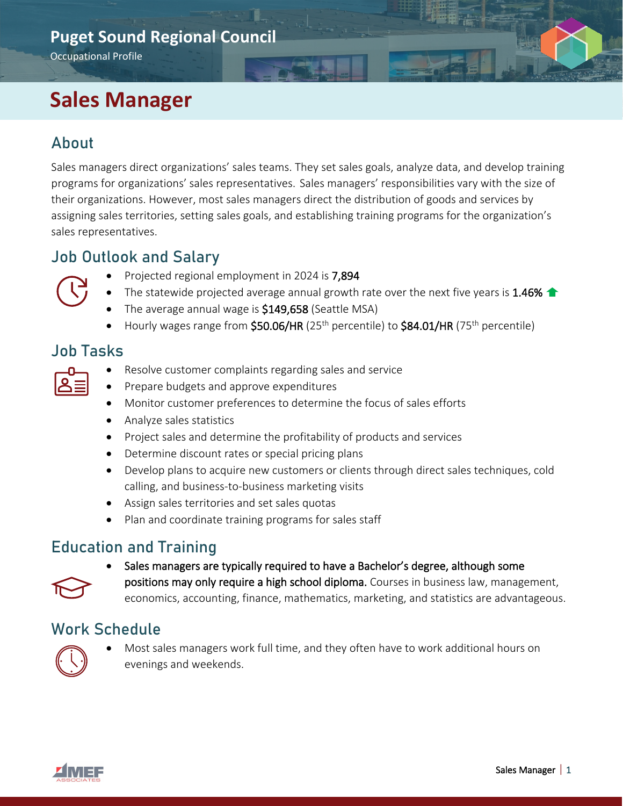#### **Puget Sound Regional Council**

Occupational Profile

# **Sales Manager**

### About

Sales managers direct organizations' sales teams. They set sales goals, analyze data, and develop training programs for organizations' sales representatives. Sales managers' responsibilities vary with the size of their organizations. However, most sales managers direct the distribution of goods and services by assigning sales territories, setting sales goals, and establishing training programs for the organization's sales representatives.

#### Job Outlook and Salary



- Projected regional employment in 2024 is 7,894
- The statewide projected average annual growth rate over the next five years is 1.46%  $\triangle$
- The average annual wage is \$149,658 (Seattle MSA)
- Hourly wages range from  $$50.06/HR$  (25<sup>th</sup> percentile) to  $$84.01/HR$  (75<sup>th</sup> percentile)

#### Job Tasks

| $\mathcal{L}(\mathcal{L})$ and $\mathcal{L}(\mathcal{L})$ and $\mathcal{L}(\mathcal{L})$<br>$\mathcal{L}(\mathcal{L})$ and $\mathcal{L}(\mathcal{L})$ and $\mathcal{L}(\mathcal{L})$ |  |
|--------------------------------------------------------------------------------------------------------------------------------------------------------------------------------------|--|
|                                                                                                                                                                                      |  |
|                                                                                                                                                                                      |  |

- Resolve customer complaints regarding sales and service
- Prepare budgets and approve expenditures
- Monitor customer preferences to determine the focus of sales efforts
- Analyze sales statistics
- Project sales and determine the profitability of products and services
- Determine discount rates or special pricing plans
- Develop plans to acquire new customers or clients through direct sales techniques, cold calling, and business-to-business marketing visits
- Assign sales territories and set sales quotas
- Plan and coordinate training programs for sales staff

# Education and Training



• Sales managers are typically required to have a Bachelor's degree, although some positions may only require a high school diploma. Courses in business law, management, economics, accounting, finance, mathematics, marketing, and statistics are advantageous.

#### Work Schedule



• Most sales managers work full time, and they often have to work additional hours on evenings and weekends.

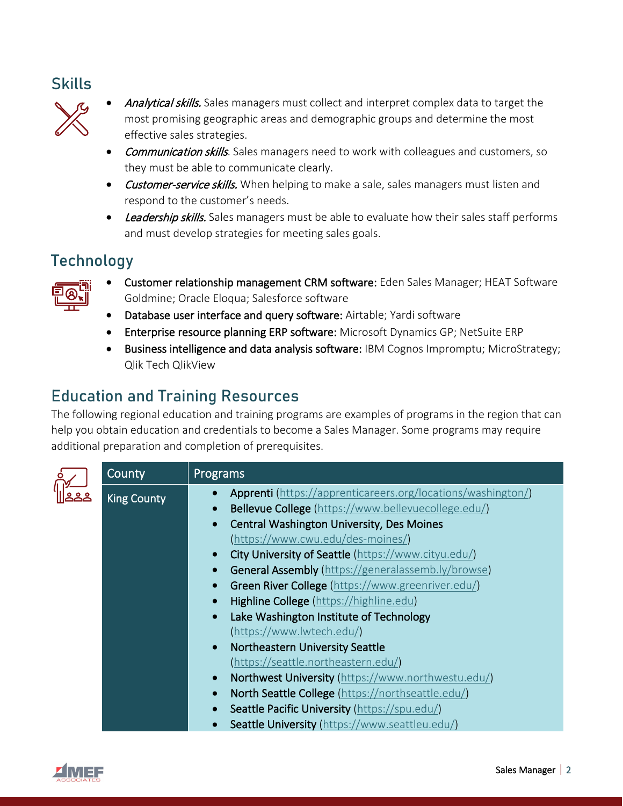#### **Skills**



- Analytical skills. Sales managers must collect and interpret complex data to target the most promising geographic areas and demographic groups and determine the most effective sales strategies.
- Communication skills. Sales managers need to work with colleagues and customers, so they must be able to communicate clearly.
- Customer-service skills. When helping to make a sale, sales managers must listen and respond to the customer's needs.
- Leadership skills. Sales managers must be able to evaluate how their sales staff performs and must develop strategies for meeting sales goals.

# **Technology**



- Customer relationship management CRM software: Eden Sales Manager; HEAT Software Goldmine; Oracle Eloqua; Salesforce software
- Database user interface and query software: Airtable; Yardi software
- Enterprise resource planning ERP software: Microsoft Dynamics GP; NetSuite ERP
- Business intelligence and data analysis software: IBM Cognos Impromptu; MicroStrategy; Qlik Tech QlikView

# Education and Training Resources

The following regional education and training programs are examples of programs in the region that can help you obtain education and credentials to become a Sales Manager. Some programs may require additional preparation and completion of prerequisites.

|  | County             | Programs                                                              |
|--|--------------------|-----------------------------------------------------------------------|
|  | <b>King County</b> | Apprenti (https://apprenticareers.org/locations/washington/)          |
|  |                    | Bellevue College (https://www.bellevuecollege.edu/)<br>$\bullet$      |
|  |                    | <b>Central Washington University, Des Moines</b><br>$\bullet$         |
|  |                    | (https://www.cwu.edu/des-moines/)                                     |
|  |                    | City University of Seattle (https://www.cityu.edu/)                   |
|  |                    | General Assembly (https://generalassemb.ly/browse)                    |
|  |                    | Green River College (https://www.greenriver.edu/)                     |
|  |                    | Highline College (https://highline.edu)                               |
|  |                    | Lake Washington Institute of Technology<br>$\bullet$                  |
|  |                    | (https://www.lwtech.edu/)                                             |
|  |                    | Northeastern University Seattle<br>$\bullet$                          |
|  |                    | (https://seattle.northeastern.edu/)                                   |
|  |                    | Northwest University (https://www.northwestu.edu/)<br>$\bullet$       |
|  |                    | <b>North Seattle College</b> (https://northseattle.edu/)<br>$\bullet$ |
|  |                    | Seattle Pacific University (https://spu.edu/)<br>$\bullet$            |
|  |                    | Seattle University (https://www.seattleu.edu/)                        |